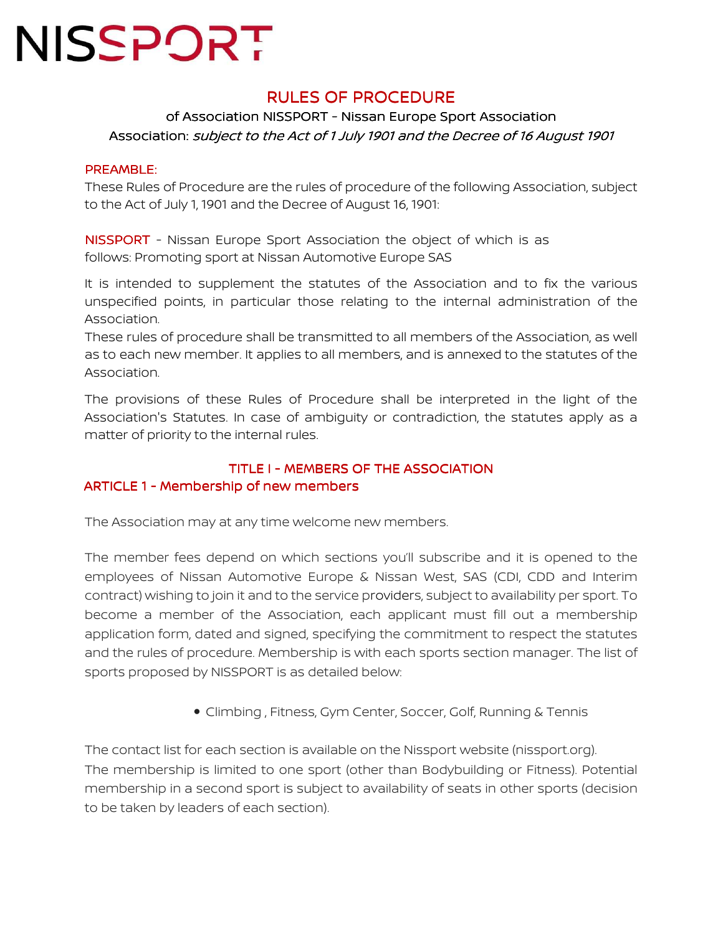### **RULES OF PROCEDURE**

### of Association NISSPORT - Nissan Europe Sport Association Association: subject to the Act of 1 July 1901 and the Decree of 16 August 1901

#### PREAMBLE:

These Rules of Procedure are the rules of procedure of the following Association, subject to the Act of July 1, 1901 and the Decree of August 16, 1901:

NISSPORT - Nissan Europe Sport Association the object of which is as follows: Promoting sport at Nissan Automotive Europe SAS

It is intended to supplement the statutes of the Association and to fix the various unspecified points, in particular those relating to the internal administration of the Association.

These rules of procedure shall be transmitted to all members of the Association, as well as to each new member. It applies to all members, and is annexed to the statutes of the Association.

The provisions of these Rules of Procedure shall be interpreted in the light of the Association's Statutes. In case of ambiguity or contradiction, the statutes apply as a matter of priority to the internal rules.

### TITLE I - MEMBERS OF THE ASSOCIATION ARTICLE 1 - Membership of new members

The Association may at any time welcome new members.

The member fees depend on which sections you'll subscribe and it is opened to the employees of Nissan Automotive Europe & Nissan West, SAS (CDI, CDD and Interim contract) wishing to join it and to the service providers, subject to availability per sport. To become a member of the Association, each applicant must fill out a membership application form, dated and signed, specifying the commitment to respect the statutes and the rules of procedure. Membership is with each sports section manager. The list of sports proposed by NISSPORT is as detailed below:

• Climbing , Fitness, Gym Center, Soccer, Golf, Running & Tennis

The contact list for each section is available on the Nissport website (nissport.org). The membership is limited to one sport (other than Bodybuilding or Fitness). Potential membership in a second sport is subject to availability of seats in other sports (decision to be taken by leaders of each section).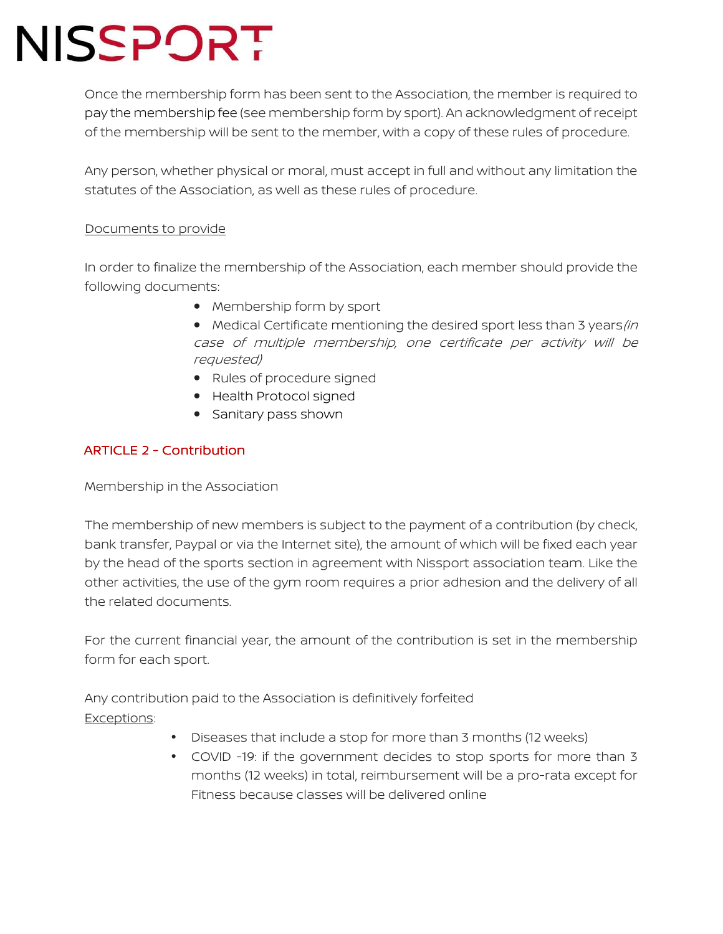Once the membership form has been sent to the Association, the member is required to pay the membership fee (see membership form by sport). An acknowledgment of receipt of the membership will be sent to the member, with a copy of these rules of procedure.

Any person, whether physical or moral, must accept in full and without any limitation the statutes of the Association, as well as these rules of procedure.

#### Documents to provide

In order to finalize the membership of the Association, each member should provide the following documents:

- Membership form by sport
- Medical Certificate mentioning the desired sport less than 3 years (in case of multiple membership, one certificate per activity will be requested)
- Rules of procedure signed
- Health Protocol signed
- Sanitary pass shown

### ARTICLE 2 - Contribution

Membership in the Association

The membership of new members is subject to the payment of a contribution (by check, bank transfer, Paypal or via the Internet site), the amount of which will be fixed each year by the head of the sports section in agreement with Nissport association team. Like the other activities, the use of the gym room requires a prior adhesion and the delivery of all the related documents.

For the current financial year, the amount of the contribution is set in the membership form for each sport.

Any contribution paid to the Association is definitively forfeited Exceptions:

- Diseases that include a stop for more than 3 months (12 weeks)
- COVID -19: if the government decides to stop sports for more than 3 months (12 weeks) in total, reimbursement will be a pro-rata except for Fitness because classes will be delivered online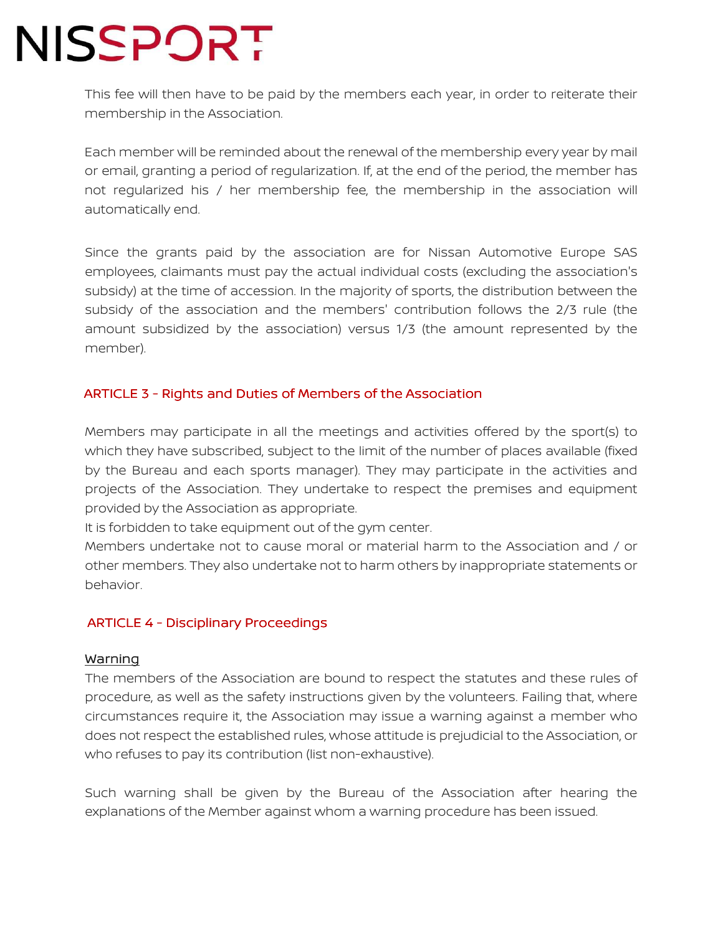This fee will then have to be paid by the members each year, in order to reiterate their membership in the Association.

Each member will be reminded about the renewal of the membership every year by mail or email, granting a period of regularization. If, at the end of the period, the member has not regularized his / her membership fee, the membership in the association will automatically end.

Since the grants paid by the association are for Nissan Automotive Europe SAS employees, claimants must pay the actual individual costs (excluding the association's subsidy) at the time of accession. In the majority of sports, the distribution between the subsidy of the association and the members' contribution follows the 2/3 rule (the amount subsidized by the association) versus 1/3 (the amount represented by the member).

#### ARTICLE 3 - Rights and Duties of Members of the Association

Members may participate in all the meetings and activities offered by the sport(s) to which they have subscribed, subject to the limit of the number of places available (fixed by the Bureau and each sports manager). They may participate in the activities and projects of the Association. They undertake to respect the premises and equipment provided by the Association as appropriate.

It is forbidden to take equipment out of the gym center.

Members undertake not to cause moral or material harm to the Association and / or other members. They also undertake not to harm others by inappropriate statements or behavior.

#### ARTICLE 4 - Disciplinary Proceedings

#### Warning

The members of the Association are bound to respect the statutes and these rules of procedure, as well as the safety instructions given by the volunteers. Failing that, where circumstances require it, the Association may issue a warning against a member who does not respect the established rules, whose attitude is prejudicial to the Association, or who refuses to pay its contribution (list non-exhaustive).

Such warning shall be given by the Bureau of the Association after hearing the explanations of the Member against whom a warning procedure has been issued.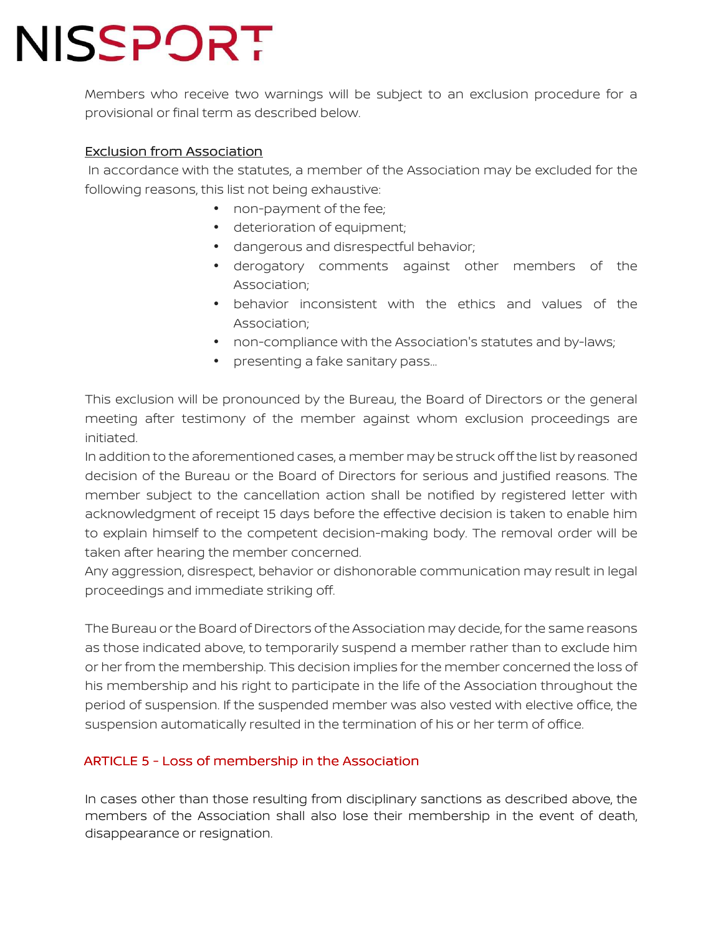Members who receive two warnings will be subject to an exclusion procedure for a provisional or final term as described below.

### Exclusion from Association

 In accordance with the statutes, a member of the Association may be excluded for the following reasons, this list not being exhaustive:

- non-payment of the fee;
- deterioration of equipment;
- dangerous and disrespectful behavior;
- derogatory comments against other members of the Association;
- behavior inconsistent with the ethics and values of the Association;
- non-compliance with the Association's statutes and by-laws;
- presenting a fake sanitary pass…

This exclusion will be pronounced by the Bureau, the Board of Directors or the general meeting after testimony of the member against whom exclusion proceedings are initiated.

In addition to the aforementioned cases, a member may be struck off the list by reasoned decision of the Bureau or the Board of Directors for serious and justified reasons. The member subject to the cancellation action shall be notified by registered letter with acknowledgment of receipt 15 days before the effective decision is taken to enable him to explain himself to the competent decision-making body. The removal order will be taken after hearing the member concerned.

Any aggression, disrespect, behavior or dishonorable communication may result in legal proceedings and immediate striking off.

The Bureau or the Board of Directors of the Association may decide, for the same reasons as those indicated above, to temporarily suspend a member rather than to exclude him or her from the membership. This decision implies for the member concerned the loss of his membership and his right to participate in the life of the Association throughout the period of suspension. If the suspended member was also vested with elective office, the suspension automatically resulted in the termination of his or her term of office.

### ARTICLE 5 - Loss of membership in the Association

In cases other than those resulting from disciplinary sanctions as described above, the members of the Association shall also lose their membership in the event of death, disappearance or resignation.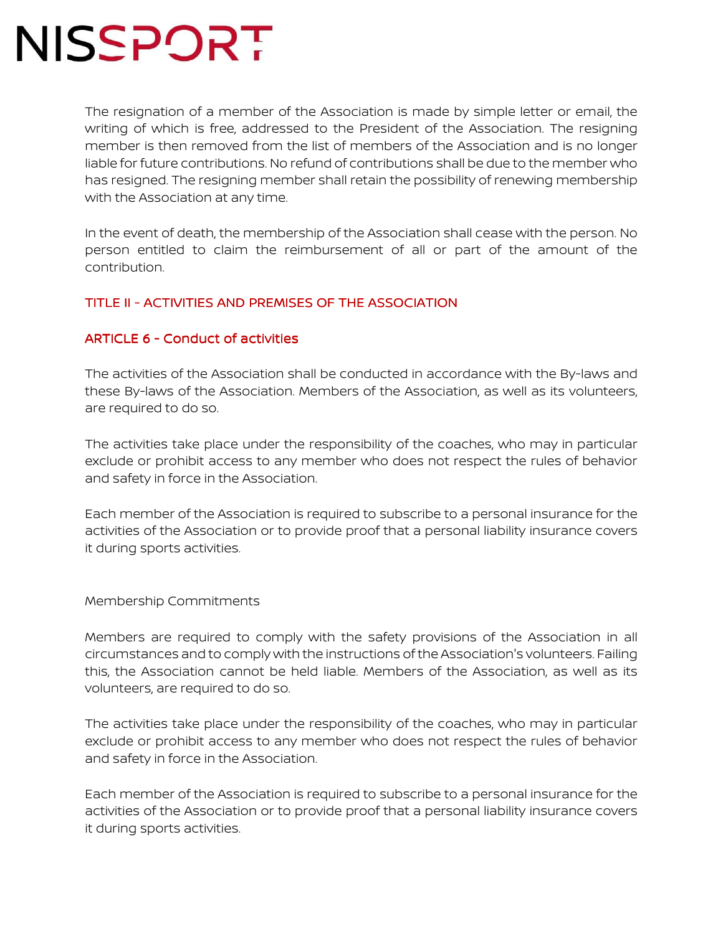The resignation of a member of the Association is made by simple letter or email, the writing of which is free, addressed to the President of the Association. The resigning member is then removed from the list of members of the Association and is no longer liable for future contributions. No refund of contributions shall be due to the member who has resigned. The resigning member shall retain the possibility of renewing membership with the Association at any time.

In the event of death, the membership of the Association shall cease with the person. No person entitled to claim the reimbursement of all or part of the amount of the contribution.

#### TITLE II - ACTIVITIES AND PREMISES OF THE ASSOCIATION

#### ARTICLE 6 - Conduct of activities

The activities of the Association shall be conducted in accordance with the By-laws and these By-laws of the Association. Members of the Association, as well as its volunteers, are required to do so.

The activities take place under the responsibility of the coaches, who may in particular exclude or prohibit access to any member who does not respect the rules of behavior and safety in force in the Association.

Each member of the Association is required to subscribe to a personal insurance for the activities of the Association or to provide proof that a personal liability insurance covers it during sports activities.

Membership Commitments

Members are required to comply with the safety provisions of the Association in all circumstances and to comply with the instructions of the Association's volunteers. Failing this, the Association cannot be held liable. Members of the Association, as well as its volunteers, are required to do so.

The activities take place under the responsibility of the coaches, who may in particular exclude or prohibit access to any member who does not respect the rules of behavior and safety in force in the Association.

Each member of the Association is required to subscribe to a personal insurance for the activities of the Association or to provide proof that a personal liability insurance covers it during sports activities.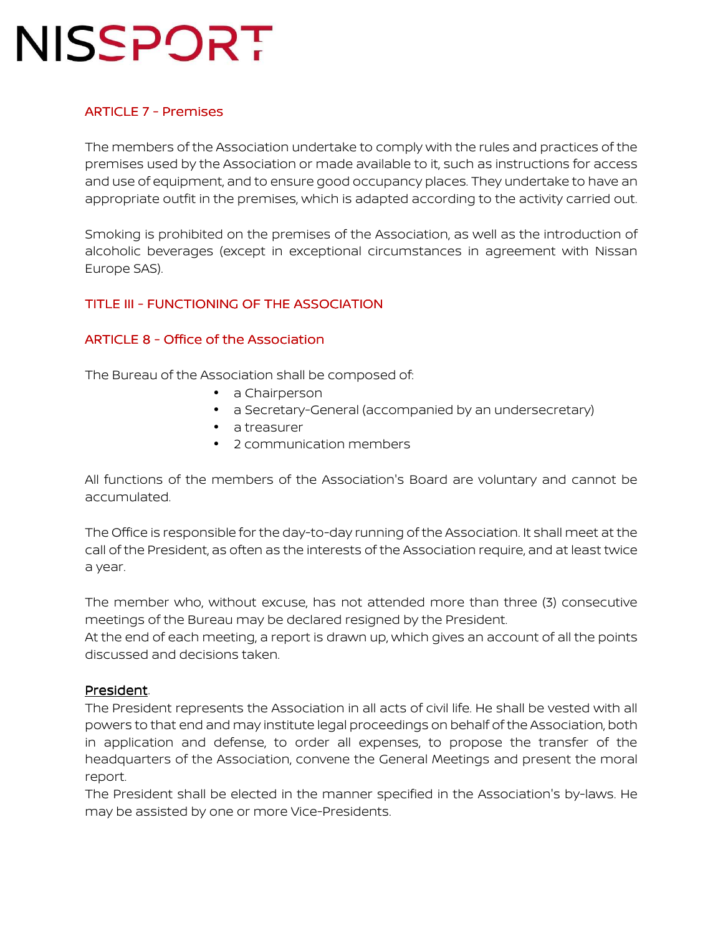### **ARTICLE 7 - Premises**

The members of the Association undertake to comply with the rules and practices of the premises used by the Association or made available to it, such as instructions for access and use of equipment, and to ensure good occupancy places. They undertake to have an appropriate outfit in the premises, which is adapted according to the activity carried out.

Smoking is prohibited on the premises of the Association, as well as the introduction of alcoholic beverages (except in exceptional circumstances in agreement with Nissan Europe SAS).

### TITLE III - FUNCTIONING OF THE ASSOCIATION

#### ARTICLE  $8$  - Office of the Association

The Bureau of the Association shall be composed of:

- a Chairperson
- a Secretary-General (accompanied by an undersecretary)
- a treasurer
- 2 communication members

All functions of the members of the Association's Board are voluntary and cannot be accumulated.

The Office is responsible for the day-to-day running of the Association. It shall meet at the call of the President, as often as the interests of the Association require, and at least twice a year.

The member who, without excuse, has not attended more than three (3) consecutive meetings of the Bureau may be declared resigned by the President.

At the end of each meeting, a report is drawn up, which gives an account of all the points discussed and decisions taken.

#### President.

The President represents the Association in all acts of civil life. He shall be vested with all powers to that end and may institute legal proceedings on behalf of the Association, both in application and defense, to order all expenses, to propose the transfer of the headquarters of the Association, convene the General Meetings and present the moral report.

The President shall be elected in the manner specified in the Association's by-laws. He may be assisted by one or more Vice-Presidents.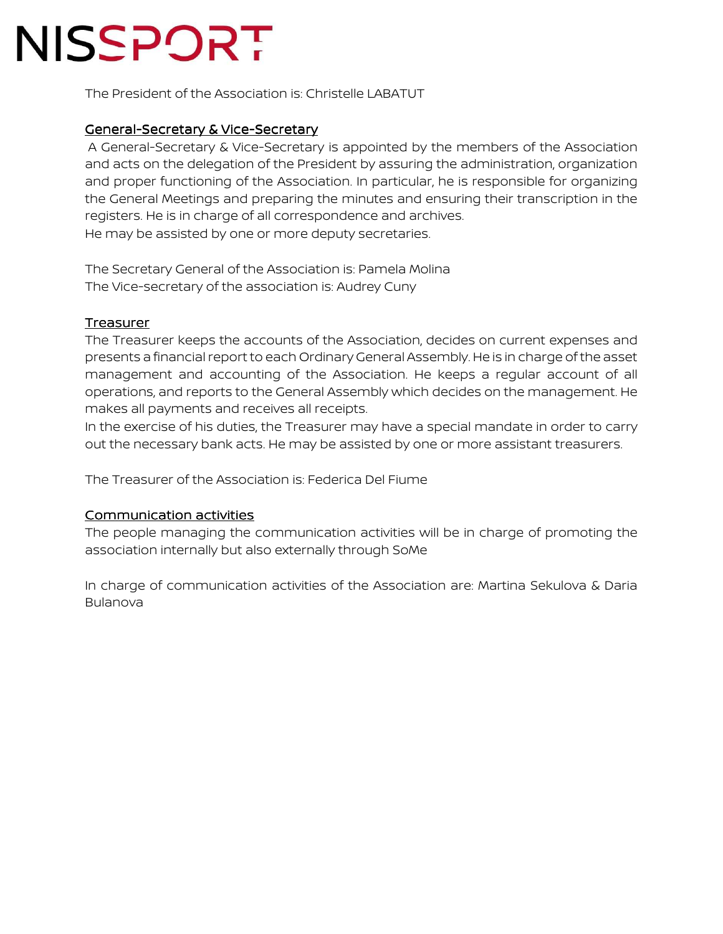The President of the Association is: Christelle LABATUT

#### General-Secretary & Vice-Secretary

 A General-Secretary & Vice-Secretary is appointed by the members of the Association and acts on the delegation of the President by assuring the administration, organization and proper functioning of the Association. In particular, he is responsible for organizing the General Meetings and preparing the minutes and ensuring their transcription in the registers. He is in charge of all correspondence and archives. He may be assisted by one or more deputy secretaries.

The Secretary General of the Association is: Pamela Molina The Vice-secretary of the association is: Audrey Cuny

#### Treasurer

The Treasurer keeps the accounts of the Association, decides on current expenses and presents a financial report to each Ordinary General Assembly. He is in charge of the asset management and accounting of the Association. He keeps a regular account of all operations, and reports to the General Assembly which decides on the management. He makes all payments and receives all receipts.

In the exercise of his duties, the Treasurer may have a special mandate in order to carry out the necessary bank acts. He may be assisted by one or more assistant treasurers.

The Treasurer of the Association is: Federica Del Fiume

#### **Communication activities**

The people managing the communication activities will be in charge of promoting the association internally but also externally through SoMe

In charge of communication activities of the Association are: Martina Sekulova & Daria Bulanova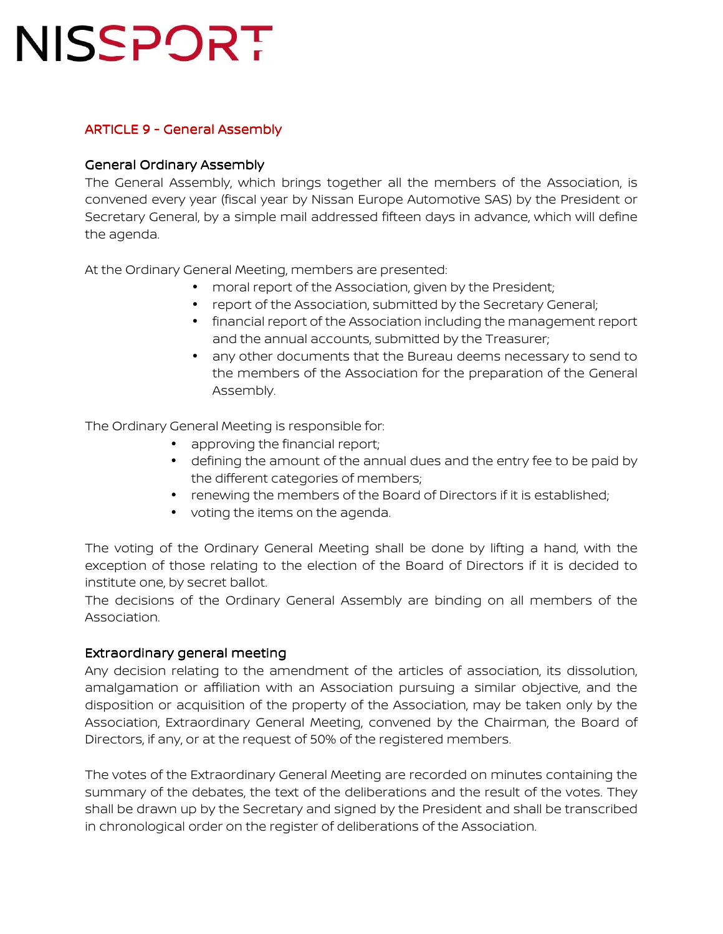### ARTICLE 9 - General Assembly

#### General Ordinary Assembly

The General Assembly, which brings together all the members of the Association, is convened every year (fiscal year by Nissan Europe Automotive SAS) by the President or Secretary General, by a simple mail addressed fifteen days in advance, which will define the agenda.

At the Ordinary General Meeting, members are presented:

- moral report of the Association, given by the President;
- report of the Association, submitted by the Secretary General;
- financial report of the Association including the management report and the annual accounts, submitted by the Treasurer;
- any other documents that the Bureau deems necessary to send to the members of the Association for the preparation of the General Assembly.

The Ordinary General Meeting is responsible for:

- approving the financial report;
- defining the amount of the annual dues and the entry fee to be paid by the different categories of members;
- renewing the members of the Board of Directors if it is established;
- voting the items on the agenda.

The voting of the Ordinary General Meeting shall be done by lifting a hand, with the exception of those relating to the election of the Board of Directors if it is decided to institute one, by secret ballot.

The decisions of the Ordinary General Assembly are binding on all members of the Association.

#### Extraordinary general meeting

Any decision relating to the amendment of the articles of association, its dissolution, amalgamation or affiliation with an Association pursuing a similar objective, and the disposition or acquisition of the property of the Association, may be taken only by the Association, Extraordinary General Meeting, convened by the Chairman, the Board of Directors, if any, or at the request of 50% of the registered members.

The votes of the Extraordinary General Meeting are recorded on minutes containing the summary of the debates, the text of the deliberations and the result of the votes. They shall be drawn up by the Secretary and signed by the President and shall be transcribed in chronological order on the register of deliberations of the Association.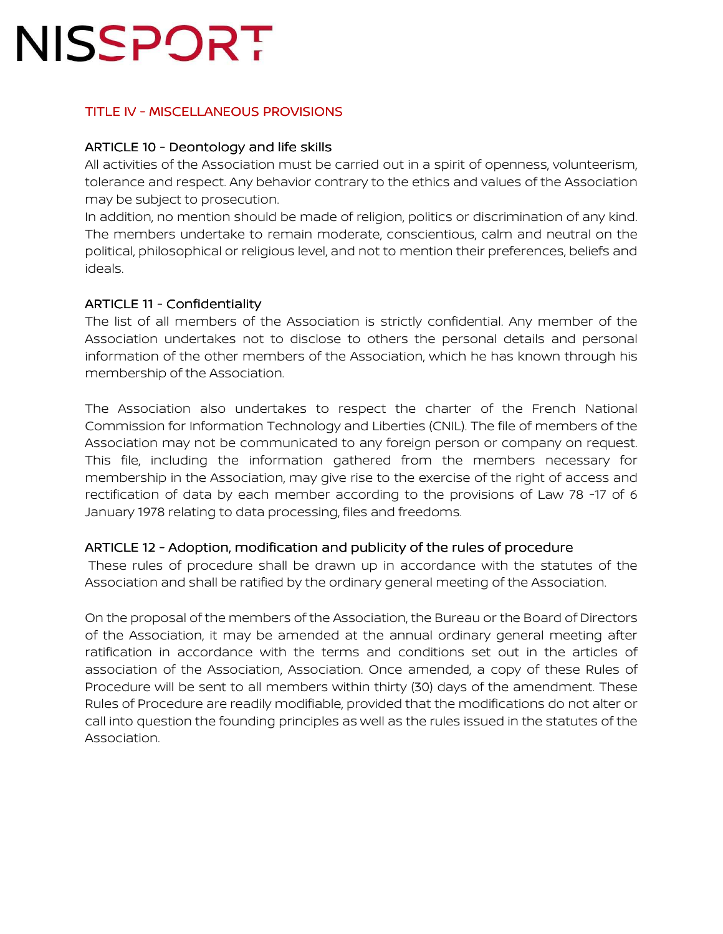### TITLE IV - MISCELLANEOUS PROVISIONS

#### ARTICLE 10 - Deontology and life skills

All activities of the Association must be carried out in a spirit of openness, volunteerism, tolerance and respect. Any behavior contrary to the ethics and values of the Association may be subject to prosecution.

In addition, no mention should be made of religion, politics or discrimination of any kind. The members undertake to remain moderate, conscientious, calm and neutral on the political, philosophical or religious level, and not to mention their preferences, beliefs and ideals.

#### ARTICLE 11 - Confidentiality

The list of all members of the Association is strictly confidential. Any member of the Association undertakes not to disclose to others the personal details and personal information of the other members of the Association, which he has known through his membership of the Association.

The Association also undertakes to respect the charter of the French National Commission for Information Technology and Liberties (CNIL). The file of members of the Association may not be communicated to any foreign person or company on request. This file, including the information gathered from the members necessary for membership in the Association, may give rise to the exercise of the right of access and rectification of data by each member according to the provisions of Law 78 -17 of 6 January 1978 relating to data processing, files and freedoms.

#### ARTICLE 12 - Adoption, modification and publicity of the rules of procedure

 These rules of procedure shall be drawn up in accordance with the statutes of the Association and shall be ratified by the ordinary general meeting of the Association.

On the proposal of the members of the Association, the Bureau or the Board of Directors of the Association, it may be amended at the annual ordinary general meeting after ratification in accordance with the terms and conditions set out in the articles of association of the Association, Association. Once amended, a copy of these Rules of Procedure will be sent to all members within thirty (30) days of the amendment. These Rules of Procedure are readily modifiable, provided that the modifications do not alter or call into question the founding principles as well as the rules issued in the statutes of the Association.